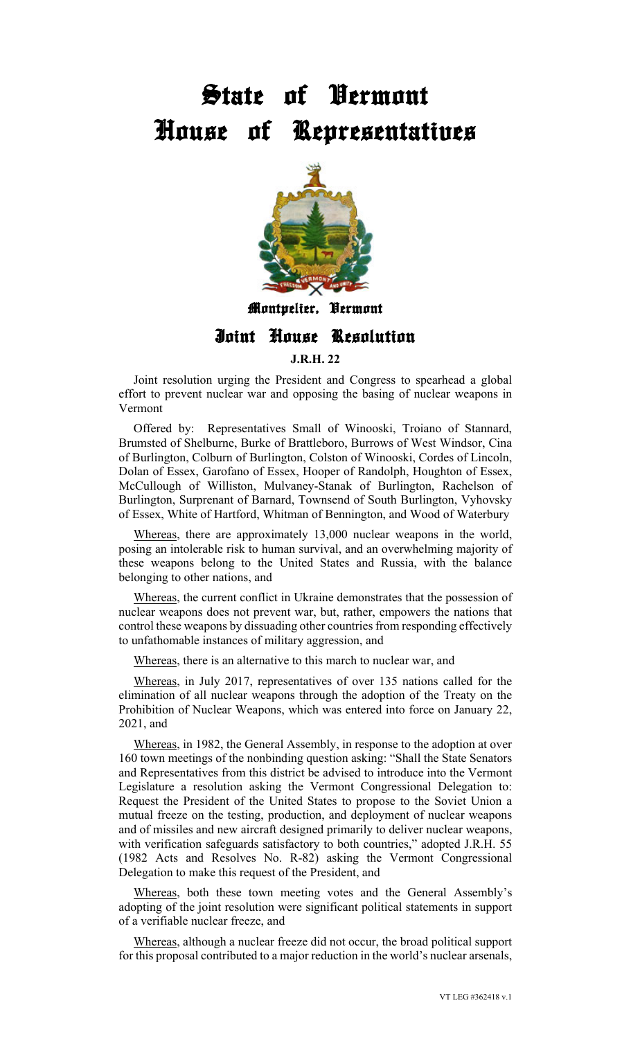## State of Vermont House of Representatives



## Montpelier, Vermont

## Joint House Resolution

**J.R.H. 22** 

Joint resolution urging the President and Congress to spearhead a global effort to prevent nuclear war and opposing the basing of nuclear weapons in Vermont

Offered by: Representatives Small of Winooski, Troiano of Stannard, Brumsted of Shelburne, Burke of Brattleboro, Burrows of West Windsor, Cina of Burlington, Colburn of Burlington, Colston of Winooski, Cordes of Lincoln, Dolan of Essex, Garofano of Essex, Hooper of Randolph, Houghton of Essex, McCullough of Williston, Mulvaney-Stanak of Burlington, Rachelson of Burlington, Surprenant of Barnard, Townsend of South Burlington, Vyhovsky of Essex, White of Hartford, Whitman of Bennington, and Wood of Waterbury

Whereas, there are approximately 13,000 nuclear weapons in the world, posing an intolerable risk to human survival, and an overwhelming majority of these weapons belong to the United States and Russia, with the balance belonging to other nations, and

Whereas, the current conflict in Ukraine demonstrates that the possession of nuclear weapons does not prevent war, but, rather, empowers the nations that control these weapons by dissuading other countries from responding effectively to unfathomable instances of military aggression, and

Whereas, there is an alternative to this march to nuclear war, and

Whereas, in July 2017, representatives of over 135 nations called for the elimination of all nuclear weapons through the adoption of the Treaty on the Prohibition of Nuclear Weapons, which was entered into force on January 22, 2021, and

Whereas, in 1982, the General Assembly, in response to the adoption at over 160 town meetings of the nonbinding question asking: "Shall the State Senators and Representatives from this district be advised to introduce into the Vermont Legislature a resolution asking the Vermont Congressional Delegation to: Request the President of the United States to propose to the Soviet Union a mutual freeze on the testing, production, and deployment of nuclear weapons and of missiles and new aircraft designed primarily to deliver nuclear weapons, with verification safeguards satisfactory to both countries," adopted J.R.H. 55 (1982 Acts and Resolves No. R-82) asking the Vermont Congressional Delegation to make this request of the President, and

Whereas, both these town meeting votes and the General Assembly's adopting of the joint resolution were significant political statements in support of a verifiable nuclear freeze, and

Whereas, although a nuclear freeze did not occur, the broad political support for this proposal contributed to a major reduction in the world's nuclear arsenals,